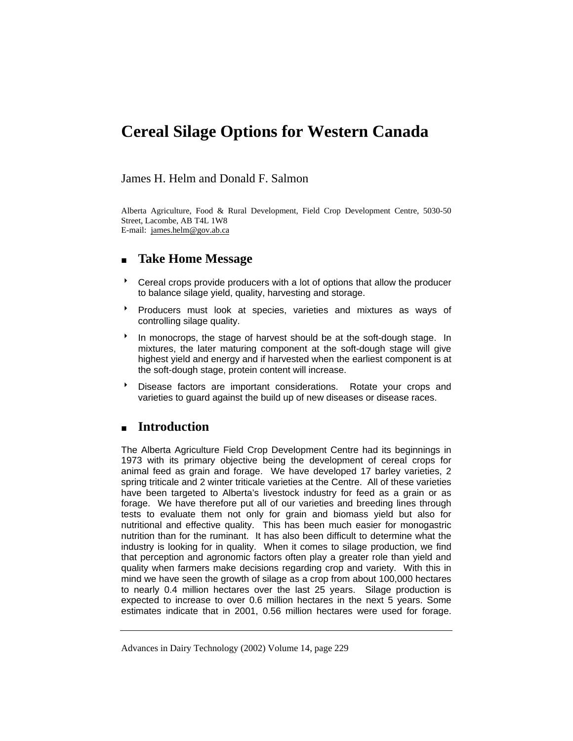# **Cereal Silage Options for Western Canada**

## James H. Helm and Donald F. Salmon

Alberta Agriculture, Food & Rural Development, Field Crop Development Centre, 5030-50 Street, Lacombe, AB T4L 1W8 E-mail: james.helm@gov.ab.ca

# **Take Home Message**

- 8 Cereal crops provide producers with a lot of options that allow the producer to balance silage yield, quality, harvesting and storage.
- **Producers must look at species, varieties and mixtures as ways of** controlling silage quality.
- <sup>t</sup> In monocrops, the stage of harvest should be at the soft-dough stage. In mixtures, the later maturing component at the soft-dough stage will give highest yield and energy and if harvested when the earliest component is at the soft-dough stage, protein content will increase.
- **BE** Disease factors are important considerations. Rotate your crops and varieties to guard against the build up of new diseases or disease races.

# **Introduction**

The Alberta Agriculture Field Crop Development Centre had its beginnings in 1973 with its primary objective being the development of cereal crops for animal feed as grain and forage. We have developed 17 barley varieties, 2 spring triticale and 2 winter triticale varieties at the Centre. All of these varieties have been targeted to Alberta's livestock industry for feed as a grain or as forage. We have therefore put all of our varieties and breeding lines through tests to evaluate them not only for grain and biomass yield but also for nutritional and effective quality. This has been much easier for monogastric nutrition than for the ruminant. It has also been difficult to determine what the industry is looking for in quality. When it comes to silage production, we find that perception and agronomic factors often play a greater role than yield and quality when farmers make decisions regarding crop and variety. With this in mind we have seen the growth of silage as a crop from about 100,000 hectares to nearly 0.4 million hectares over the last 25 years. Silage production is expected to increase to over 0.6 million hectares in the next 5 years. Some estimates indicate that in 2001, 0.56 million hectares were used for forage.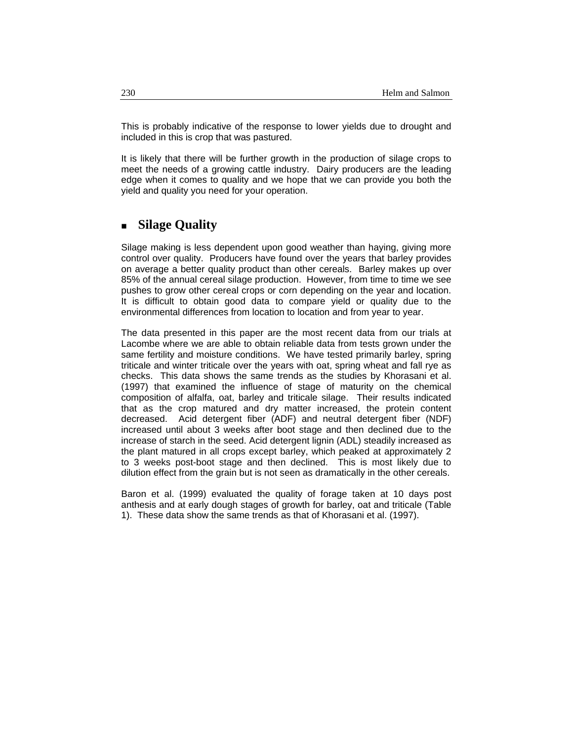This is probably indicative of the response to lower yields due to drought and included in this is crop that was pastured.

It is likely that there will be further growth in the production of silage crops to meet the needs of a growing cattle industry. Dairy producers are the leading edge when it comes to quality and we hope that we can provide you both the yield and quality you need for your operation.

# **Silage Quality**

Silage making is less dependent upon good weather than haying, giving more control over quality. Producers have found over the years that barley provides on average a better quality product than other cereals. Barley makes up over 85% of the annual cereal silage production. However, from time to time we see pushes to grow other cereal crops or corn depending on the year and location. It is difficult to obtain good data to compare yield or quality due to the environmental differences from location to location and from year to year.

The data presented in this paper are the most recent data from our trials at Lacombe where we are able to obtain reliable data from tests grown under the same fertility and moisture conditions. We have tested primarily barley, spring triticale and winter triticale over the years with oat, spring wheat and fall rye as checks. This data shows the same trends as the studies by Khorasani et al. (1997) that examined the influence of stage of maturity on the chemical composition of alfalfa, oat, barley and triticale silage. Their results indicated that as the crop matured and dry matter increased, the protein content decreased. Acid detergent fiber (ADF) and neutral detergent fiber (NDF) increased until about 3 weeks after boot stage and then declined due to the increase of starch in the seed. Acid detergent lignin (ADL) steadily increased as the plant matured in all crops except barley, which peaked at approximately 2 to 3 weeks post-boot stage and then declined. This is most likely due to dilution effect from the grain but is not seen as dramatically in the other cereals.

Baron et al. (1999) evaluated the quality of forage taken at 10 days post anthesis and at early dough stages of growth for barley, oat and triticale (Table 1). These data show the same trends as that of Khorasani et al. (1997).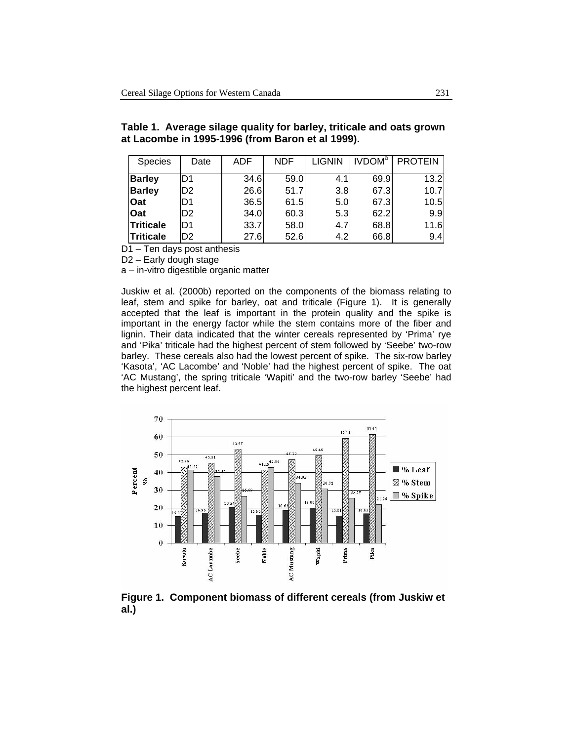| <b>Species</b>   | Date           | ADF  | <b>NDF</b> | <b>LIGNIN</b>    | <b>IVDOM</b> <sup>a</sup> | <b>PROTEIN</b> |
|------------------|----------------|------|------------|------------------|---------------------------|----------------|
| <b>Barley</b>    | ID1            | 34.6 | 59.0       | 4.1              | 69.9                      | 13.2           |
| <b>Barley</b>    | D <sub>2</sub> | 26.6 | 51.7       | 3.8              | 67.3                      | 10.7           |
| Oat              | ID1            | 36.5 | 61.5       | 5.0 <sub>l</sub> | 67.3                      | 10.5           |
| Oat              | D <sub>2</sub> | 34.0 | 60.3       | 5.3              | 62.2                      | 9.9            |
| <b>Triticale</b> | D <sub>1</sub> | 33.7 | 58.0       | 4.7              | 68.8                      | 11.6           |
| <b>Triticale</b> | D <sub>2</sub> | 27.6 | 52.6       | 4.2              | 66.8                      | 9.4            |

| Table 1. Average silage quality for barley, triticale and oats grown |  |  |  |
|----------------------------------------------------------------------|--|--|--|
| at Lacombe in 1995-1996 (from Baron et al 1999).                     |  |  |  |

D<sub>1</sub> – Ten days post anthesis

D2 – Early dough stage

a – in-vitro digestible organic matter

Juskiw et al. (2000b) reported on the components of the biomass relating to leaf, stem and spike for barley, oat and triticale (Figure 1). It is generally accepted that the leaf is important in the protein quality and the spike is important in the energy factor while the stem contains more of the fiber and lignin. Their data indicated that the winter cereals represented by 'Prima' rye and 'Pika' triticale had the highest percent of stem followed by 'Seebe' two-row barley. These cereals also had the lowest percent of spike. The six-row barley 'Kasota', 'AC Lacombe' and 'Noble' had the highest percent of spike. The oat 'AC Mustang', the spring triticale 'Wapiti' and the two-row barley 'Seebe' had the highest percent leaf.



**Figure 1. Component biomass of different cereals (from Juskiw et al.)**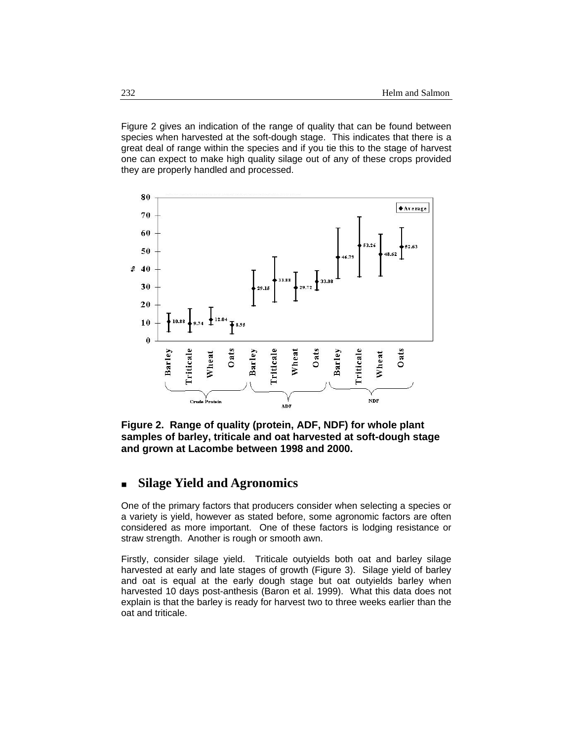Figure 2 gives an indication of the range of quality that can be found between species when harvested at the soft-dough stage. This indicates that there is a great deal of range within the species and if you tie this to the stage of harvest one can expect to make high quality silage out of any of these crops provided they are properly handled and processed.



**Figure 2. Range of quality (protein, ADF, NDF) for whole plant samples of barley, triticale and oat harvested at soft-dough stage and grown at Lacombe between 1998 and 2000.** 

## **Silage Yield and Agronomics**

One of the primary factors that producers consider when selecting a species or a variety is yield, however as stated before, some agronomic factors are often considered as more important. One of these factors is lodging resistance or straw strength. Another is rough or smooth awn.

Firstly, consider silage yield. Triticale outyields both oat and barley silage harvested at early and late stages of growth (Figure 3). Silage yield of barley and oat is equal at the early dough stage but oat outyields barley when harvested 10 days post-anthesis (Baron et al. 1999). What this data does not explain is that the barley is ready for harvest two to three weeks earlier than the oat and triticale.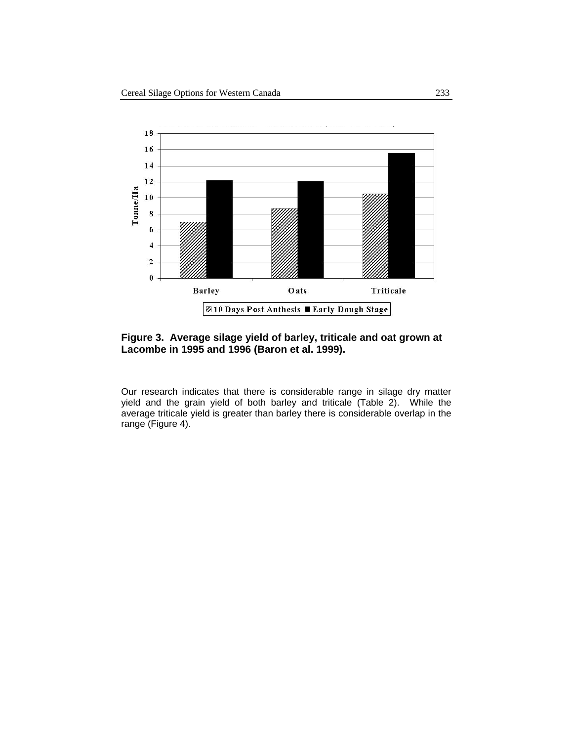

#### **Figure 3. Average silage yield of barley, triticale and oat grown at Lacombe in 1995 and 1996 (Baron et al. 1999).**

Our research indicates that there is considerable range in silage dry matter yield and the grain yield of both barley and triticale (Table 2). While the average triticale yield is greater than barley there is considerable overlap in the range (Figure 4).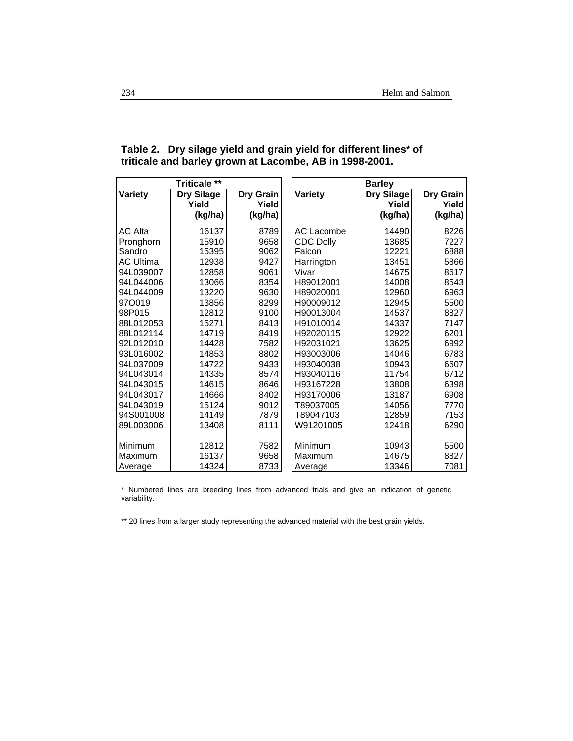| <b>Triticale **</b> |                   |           | <b>Barley</b>    |                   |           |  |
|---------------------|-------------------|-----------|------------------|-------------------|-----------|--|
| Variety             | <b>Dry Silage</b> | Dry Grain | Variety          | <b>Dry Silage</b> | Dry Grain |  |
|                     | Yield             | Yield     |                  | Yield             | Yield     |  |
|                     | (kg/ha)           | (kg/ha)   |                  | (kg/ha)           | (kg/ha)   |  |
| <b>AC Alta</b>      | 16137             | 8789      | AC Lacombe       | 14490             | 8226      |  |
| Pronghorn           | 15910             | 9658      | <b>CDC Dolly</b> | 13685             | 7227      |  |
| Sandro              | 15395             | 9062      | Falcon           | 12221             | 6888      |  |
| <b>AC Ultima</b>    | 12938             | 9427      | Harrington       | 13451             | 5866      |  |
| 94L039007           | 12858             | 9061      | Vivar            | 14675             | 8617      |  |
| 94L044006           | 13066             | 8354      | H89012001        | 14008             | 8543      |  |
| 94L044009           | 13220             | 9630      | H89020001        | 12960             | 6963      |  |
| 970019              | 13856             | 8299      | H90009012        | 12945             | 5500      |  |
| 98P015              | 12812             | 9100      | H90013004        | 14537             | 8827      |  |
| 88L012053           | 15271             | 8413      | H91010014        | 14337             | 7147      |  |
| 88L012114           | 14719             | 8419      | H92020115        | 12922             | 6201      |  |
| 92L012010           | 14428             | 7582      | H92031021        | 13625             | 6992      |  |
| 93L016002           | 14853             | 8802      | H93003006        | 14046             | 6783      |  |
| 94L037009           | 14722             | 9433      | H93040038        | 10943             | 6607      |  |
| 94L043014           | 14335             | 8574      | H93040116        | 11754             | 6712      |  |
| 94L043015           | 14615             | 8646      | H93167228        | 13808             | 6398      |  |
| 94L043017           | 14666             | 8402      | H93170006        | 13187             | 6908      |  |
| 94L043019           | 15124             | 9012      | T89037005        | 14056             | 7770      |  |
| 94S001008           | 14149             | 7879      | T89047103        | 12859             | 7153      |  |
| 89L003006           | 13408             | 8111      | W91201005        | 12418             | 6290      |  |
|                     |                   |           |                  |                   |           |  |
| Minimum             | 12812             | 7582      | Minimum          | 10943             | 5500      |  |
| Maximum             | 16137             | 9658      | Maximum          | 14675             | 8827      |  |
| Average             | 14324             | 8733      | Average          | 13346             | 7081      |  |

#### **Table 2. Dry silage yield and grain yield for different lines\* of triticale and barley grown at Lacombe, AB in 1998-2001.**

\* Numbered lines are breeding lines from advanced trials and give an indication of genetic variability.

\*\* 20 lines from a larger study representing the advanced material with the best grain yields.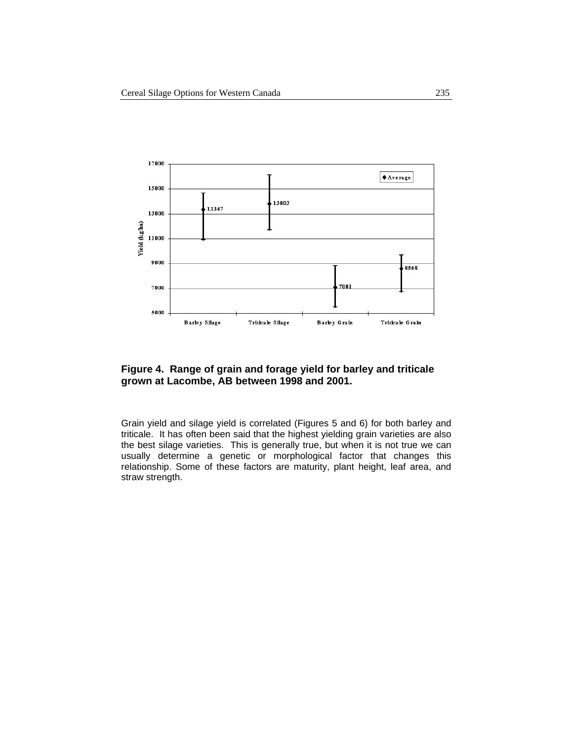

#### **Figure 4. Range of grain and forage yield for barley and triticale grown at Lacombe, AB between 1998 and 2001.**

Grain yield and silage yield is correlated (Figures 5 and 6) for both barley and triticale. It has often been said that the highest yielding grain varieties are also the best silage varieties. This is generally true, but when it is not true we can usually determine a genetic or morphological factor that changes this relationship. Some of these factors are maturity, plant height, leaf area, and straw strength.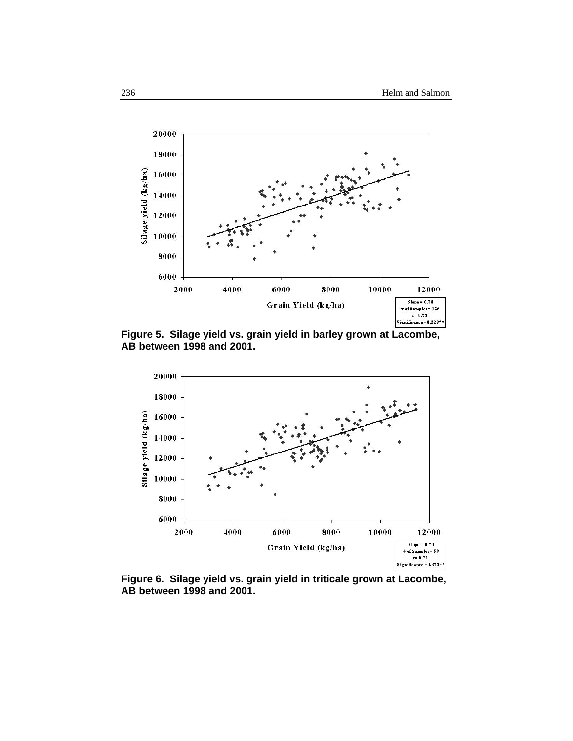

**Figure 5. Silage yield vs. grain yield in barley grown at Lacombe, AB between 1998 and 2001.** 



**Figure 6. Silage yield vs. grain yield in triticale grown at Lacombe, AB between 1998 and 2001.**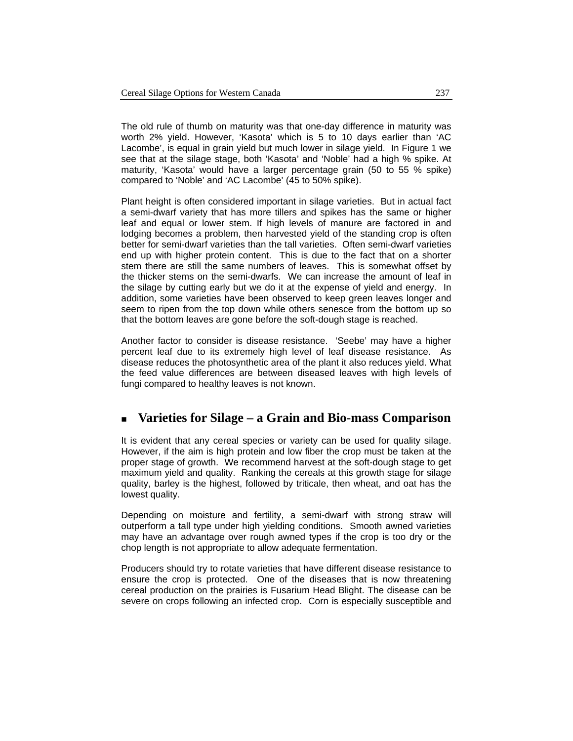The old rule of thumb on maturity was that one-day difference in maturity was worth 2% yield. However, 'Kasota' which is 5 to 10 days earlier than 'AC Lacombe', is equal in grain yield but much lower in silage yield. In Figure 1 we see that at the silage stage, both 'Kasota' and 'Noble' had a high % spike. At maturity, 'Kasota' would have a larger percentage grain (50 to 55 % spike) compared to 'Noble' and 'AC Lacombe' (45 to 50% spike).

Plant height is often considered important in silage varieties. But in actual fact a semi-dwarf variety that has more tillers and spikes has the same or higher leaf and equal or lower stem. If high levels of manure are factored in and lodging becomes a problem, then harvested yield of the standing crop is often better for semi-dwarf varieties than the tall varieties. Often semi-dwarf varieties end up with higher protein content. This is due to the fact that on a shorter stem there are still the same numbers of leaves. This is somewhat offset by the thicker stems on the semi-dwarfs. We can increase the amount of leaf in the silage by cutting early but we do it at the expense of yield and energy. In addition, some varieties have been observed to keep green leaves longer and seem to ripen from the top down while others senesce from the bottom up so that the bottom leaves are gone before the soft-dough stage is reached.

Another factor to consider is disease resistance. 'Seebe' may have a higher percent leaf due to its extremely high level of leaf disease resistance. As disease reduces the photosynthetic area of the plant it also reduces yield. What the feed value differences are between diseased leaves with high levels of fungi compared to healthy leaves is not known.

# **Varieties for Silage – a Grain and Bio-mass Comparison**

It is evident that any cereal species or variety can be used for quality silage. However, if the aim is high protein and low fiber the crop must be taken at the proper stage of growth. We recommend harvest at the soft-dough stage to get maximum yield and quality. Ranking the cereals at this growth stage for silage quality, barley is the highest, followed by triticale, then wheat, and oat has the lowest quality.

Depending on moisture and fertility, a semi-dwarf with strong straw will outperform a tall type under high yielding conditions. Smooth awned varieties may have an advantage over rough awned types if the crop is too dry or the chop length is not appropriate to allow adequate fermentation.

Producers should try to rotate varieties that have different disease resistance to ensure the crop is protected. One of the diseases that is now threatening cereal production on the prairies is Fusarium Head Blight. The disease can be severe on crops following an infected crop. Corn is especially susceptible and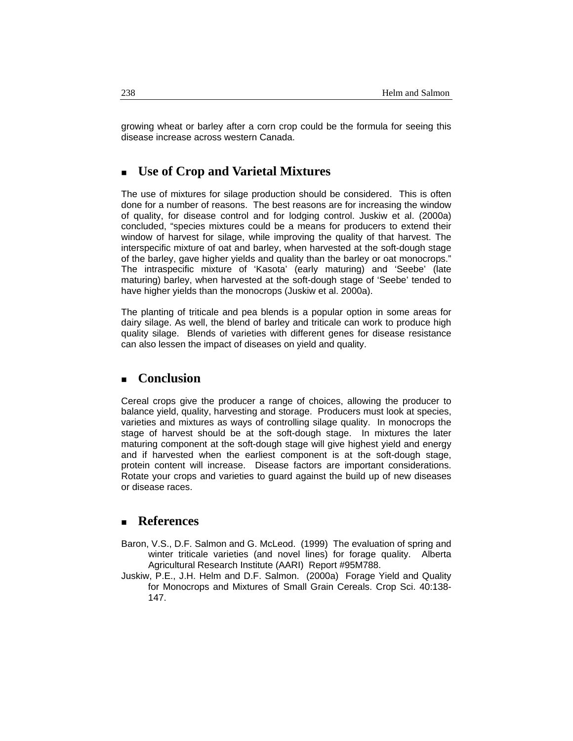growing wheat or barley after a corn crop could be the formula for seeing this disease increase across western Canada.

# **Use of Crop and Varietal Mixtures**

The use of mixtures for silage production should be considered. This is often done for a number of reasons. The best reasons are for increasing the window of quality, for disease control and for lodging control. Juskiw et al. (2000a) concluded, "species mixtures could be a means for producers to extend their window of harvest for silage, while improving the quality of that harvest. The interspecific mixture of oat and barley, when harvested at the soft-dough stage of the barley, gave higher yields and quality than the barley or oat monocrops." The intraspecific mixture of 'Kasota' (early maturing) and 'Seebe' (late maturing) barley, when harvested at the soft-dough stage of 'Seebe' tended to have higher yields than the monocrops (Juskiw et al. 2000a).

The planting of triticale and pea blends is a popular option in some areas for dairy silage. As well, the blend of barley and triticale can work to produce high quality silage. Blends of varieties with different genes for disease resistance can also lessen the impact of diseases on yield and quality.

## **Conclusion**

Cereal crops give the producer a range of choices, allowing the producer to balance yield, quality, harvesting and storage. Producers must look at species, varieties and mixtures as ways of controlling silage quality. In monocrops the stage of harvest should be at the soft-dough stage. In mixtures the later maturing component at the soft-dough stage will give highest yield and energy and if harvested when the earliest component is at the soft-dough stage, protein content will increase. Disease factors are important considerations. Rotate your crops and varieties to guard against the build up of new diseases or disease races.

## **References**

- Baron, V.S., D.F. Salmon and G. McLeod. (1999) The evaluation of spring and winter triticale varieties (and novel lines) for forage quality. Alberta Agricultural Research Institute (AARI) Report #95M788.
- Juskiw, P.E., J.H. Helm and D.F. Salmon. (2000a) Forage Yield and Quality for Monocrops and Mixtures of Small Grain Cereals. Crop Sci. 40:138- 147.